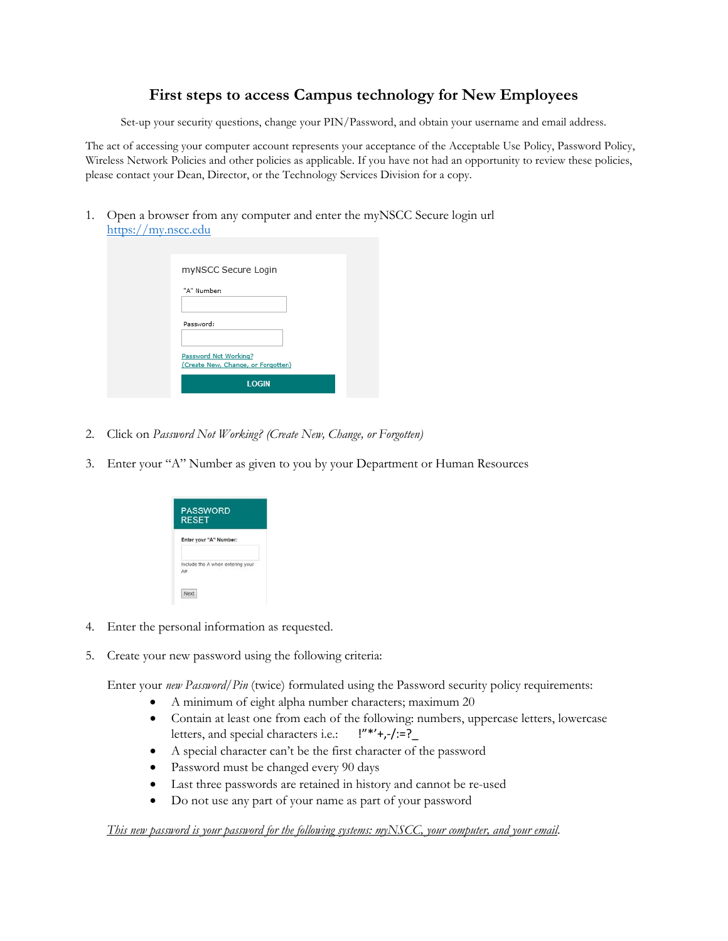## **First steps to access Campus technology for New Employees**

Set-up your security questions, change your PIN/Password, and obtain your username and email address.

The act of accessing your computer account represents your acceptance of the Acceptable Use Policy, Password Policy, Wireless Network Policies and other policies as applicable. If you have not had an opportunity to review these policies, please contact your Dean, Director, or the Technology Services Division for a copy.

1. Open a browser from any computer and enter the myNSCC Secure login url [https://my.nscc.edu](https://my.nscc.edu/)

| myNSCC Secure Login                                         |
|-------------------------------------------------------------|
| "A" Number:                                                 |
| Password:                                                   |
| Password Not Working?<br>(Create New, Change, or Forgotten) |
| <b>LOGIN</b>                                                |

- 2. Click on *Password Not Working? (Create New, Change, or Forgotten)*
- 3. Enter your "A" Number as given to you by your Department or Human Resources

| <b>PASSWORD</b><br><b>RESET</b> |                                  |
|---------------------------------|----------------------------------|
|                                 | Enter your "A" Number:           |
| ٨                               | Include the A when entering your |
|                                 |                                  |

- 4. Enter the personal information as requested.
- 5. Create your new password using the following criteria:

Enter your *new Password/Pin* (twice) formulated using the Password security policy requirements:

- A minimum of eight alpha number characters; maximum 20
- Contain at least one from each of the following: numbers, uppercase letters, lowercase letters, and special characters i.e.:  $\frac{1}{1}$ "\*'+,-/:=?
- A special character can't be the first character of the password
- Password must be changed every 90 days
- Last three passwords are retained in history and cannot be re-used
- Do not use any part of your name as part of your password

*This new password is your password for the following systems: myNSCC, your computer, and your email*.